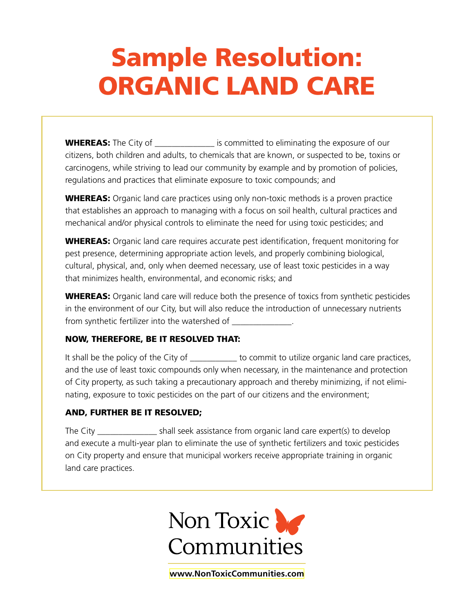# Sample Resolution: ORGANIC LAND CARE

**WHEREAS:** The City of \_\_\_\_\_\_\_\_\_\_\_\_\_\_ is committed to eliminating the exposure of our citizens, both children and adults, to chemicals that are known, or suspected to be, toxins or carcinogens, while striving to lead our community by example and by promotion of policies, regulations and practices that eliminate exposure to toxic compounds; and

**WHEREAS:** Organic land care practices using only non-toxic methods is a proven practice that establishes an approach to managing with a focus on soil health, cultural practices and mechanical and/or physical controls to eliminate the need for using toxic pesticides; and

**WHEREAS:** Organic land care requires accurate pest identification, frequent monitoring for pest presence, determining appropriate action levels, and properly combining biological, cultural, physical, and, only when deemed necessary, use of least toxic pesticides in a way that minimizes health, environmental, and economic risks; and

**WHEREAS:** Organic land care will reduce both the presence of toxics from synthetic pesticides in the environment of our City, but will also reduce the introduction of unnecessary nutrients from synthetic fertilizer into the watershed of \_\_\_\_\_\_\_\_\_\_\_\_\_\_.

#### NOW, THEREFORE, BE IT RESOLVED THAT:

It shall be the policy of the City of degree to commit to utilize organic land care practices, and the use of least toxic compounds only when necessary, in the maintenance and protection of City property, as such taking a precautionary approach and thereby minimizing, if not eliminating, exposure to toxic pesticides on the part of our citizens and the environment;

#### AND, FURTHER BE IT RESOLVED;

The City \_\_\_\_\_\_\_\_\_\_\_\_\_\_\_\_\_ shall seek assistance from organic land care expert(s) to develop and execute a multi-year plan to eliminate the use of synthetic fertilizers and toxic pesticides on City property and ensure that municipal workers receive appropriate training in organic land care practices.



**[www.NonToxicCommunities.com](http://www.NonToxicCommunities.com)**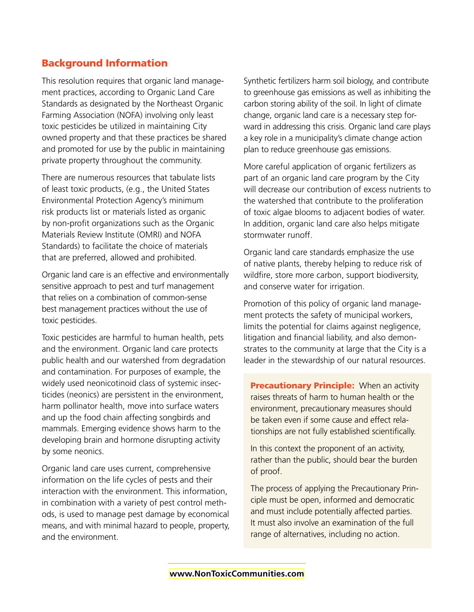### Background Information

This resolution requires that organic land management practices, according to Organic Land Care Standards as designated by the Northeast Organic Farming Association (NOFA) involving only least toxic pesticides be utilized in maintaining City owned property and that these practices be shared and promoted for use by the public in maintaining private property throughout the community.

There are numerous resources that tabulate lists of least toxic products, (e.g., the United States Environmental Protection Agency's minimum risk products list or materials listed as organic by non-profit organizations such as the Organic Materials Review Institute (OMRI) and NOFA Standards) to facilitate the choice of materials that are preferred, allowed and prohibited.

Organic land care is an effective and environmentally sensitive approach to pest and turf management that relies on a combination of common-sense best management practices without the use of toxic pesticides.

Toxic pesticides are harmful to human health, pets and the environment. Organic land care protects public health and our watershed from degradation and contamination. For purposes of example, the widely used neonicotinoid class of systemic insecticides (neonics) are persistent in the environment, harm pollinator health, move into surface waters and up the food chain affecting songbirds and mammals. Emerging evidence shows harm to the developing brain and hormone disrupting activity by some neonics.

Organic land care uses current, comprehensive information on the life cycles of pests and their interaction with the environment. This information, in combination with a variety of pest control methods, is used to manage pest damage by economical means, and with minimal hazard to people, property, and the environment.

Synthetic fertilizers harm soil biology, and contribute to greenhouse gas emissions as well as inhibiting the carbon storing ability of the soil. In light of climate change, organic land care is a necessary step forward in addressing this crisis. Organic land care plays a key role in a municipality's climate change action plan to reduce greenhouse gas emissions.

More careful application of organic fertilizers as part of an organic land care program by the City will decrease our contribution of excess nutrients to the watershed that contribute to the proliferation of toxic algae blooms to adjacent bodies of water. In addition, organic land care also helps mitigate stormwater runoff.

Organic land care standards emphasize the use of native plants, thereby helping to reduce risk of wildfire, store more carbon, support biodiversity, and conserve water for irrigation.

Promotion of this policy of organic land management protects the safety of municipal workers, limits the potential for claims against negligence, litigation and financial liability, and also demonstrates to the community at large that the City is a leader in the stewardship of our natural resources.

**Precautionary Principle:** When an activity raises threats of harm to human health or the environment, precautionary measures should be taken even if some cause and effect relationships are not fully established scientifically.

In this context the proponent of an activity, rather than the public, should bear the burden of proof.

The process of applying the Precautionary Principle must be open, informed and democratic and must include potentially affected parties. It must also involve an examination of the full range of alternatives, including no action.